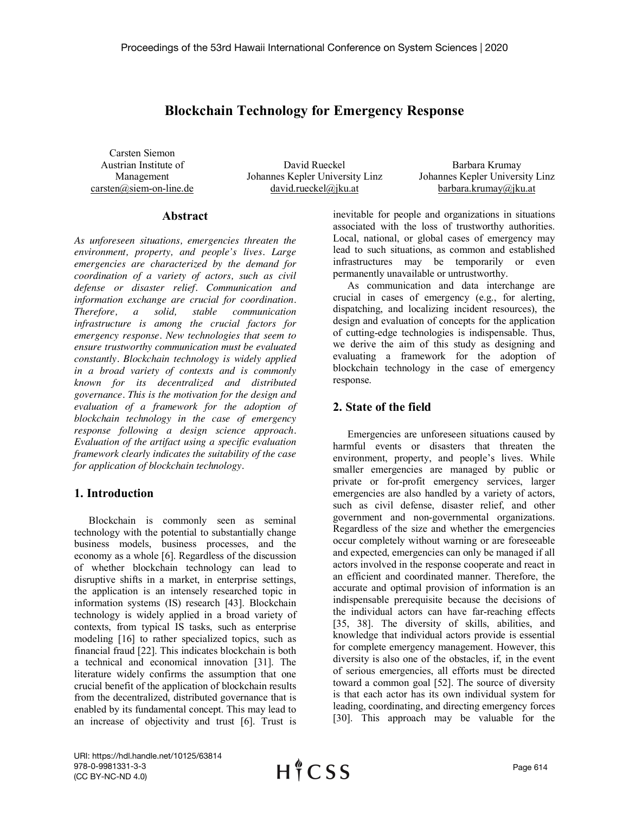# **Blockchain Technology for Emergency Response**

Carsten Siemon Austrian Institute of Management carsten@siem-on-line.de

David Rueckel Johannes Kepler University Linz david.rueckel@jku.at

Barbara Krumay Johannes Kepler University Linz barbara.krumay@jku.at

#### **Abstract**

*As unforeseen situations, emergencies threaten the environment, property, and people's lives. Large emergencies are characterized by the demand for coordination of a variety of actors, such as civil defense or disaster relief. Communication and information exchange are crucial for coordination. Therefore, a solid, stable communication infrastructure is among the crucial factors for emergency response. New technologies that seem to ensure trustworthy communication must be evaluated constantly. Blockchain technology is widely applied in a broad variety of contexts and is commonly known for its decentralized and distributed governance. This is the motivation for the design and evaluation of a framework for the adoption of blockchain technology in the case of emergency response following a design science approach. Evaluation of the artifact using a specific evaluation framework clearly indicates the suitability of the case for application of blockchain technology.*

### **1. Introduction**

Blockchain is commonly seen as seminal technology with the potential to substantially change business models, business processes, and the economy as a whole [6]. Regardless of the discussion of whether blockchain technology can lead to disruptive shifts in a market, in enterprise settings, the application is an intensely researched topic in information systems (IS) research [43]. Blockchain technology is widely applied in a broad variety of contexts, from typical IS tasks, such as enterprise modeling [16] to rather specialized topics, such as financial fraud [22]. This indicates blockchain is both a technical and economical innovation [31]. The literature widely confirms the assumption that one crucial benefit of the application of blockchain results from the decentralized, distributed governance that is enabled by its fundamental concept. This may lead to an increase of objectivity and trust [6]. Trust is

inevitable for people and organizations in situations associated with the loss of trustworthy authorities. Local, national, or global cases of emergency may lead to such situations, as common and established infrastructures may be temporarily or even permanently unavailable or untrustworthy.

As communication and data interchange are crucial in cases of emergency (e.g., for alerting, dispatching, and localizing incident resources), the design and evaluation of concepts for the application of cutting-edge technologies is indispensable. Thus, we derive the aim of this study as designing and evaluating a framework for the adoption of blockchain technology in the case of emergency response.

## **2. State of the field**

Emergencies are unforeseen situations caused by harmful events or disasters that threaten the environment, property, and people's lives. While smaller emergencies are managed by public or private or for-profit emergency services, larger emergencies are also handled by a variety of actors, such as civil defense, disaster relief, and other government and non-governmental organizations. Regardless of the size and whether the emergencies occur completely without warning or are foreseeable and expected, emergencies can only be managed if all actors involved in the response cooperate and react in an efficient and coordinated manner. Therefore, the accurate and optimal provision of information is an indispensable prerequisite because the decisions of the individual actors can have far-reaching effects [35, 38]. The diversity of skills, abilities, and knowledge that individual actors provide is essential for complete emergency management. However, this diversity is also one of the obstacles, if, in the event of serious emergencies, all efforts must be directed toward a common goal [52]. The source of diversity is that each actor has its own individual system for leading, coordinating, and directing emergency forces [30]. This approach may be valuable for the

URI: https://hdl.handle.net/10125/63814 978-0-9981331-3-3 (CC BY-NC-ND 4.0)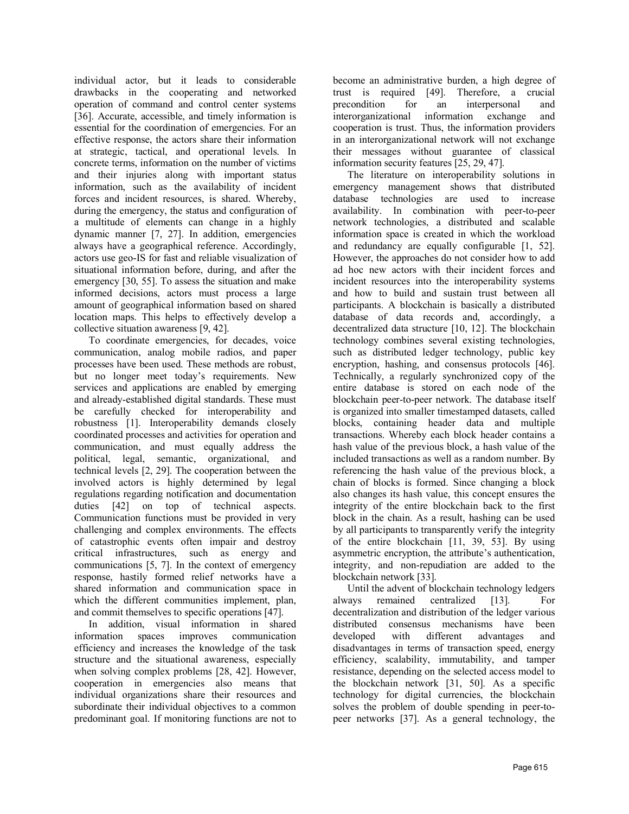individual actor, but it leads to considerable drawbacks in the cooperating and networked operation of command and control center systems [36]. Accurate, accessible, and timely information is essential for the coordination of emergencies. For an effective response, the actors share their information at strategic, tactical, and operational levels. In concrete terms, information on the number of victims and their injuries along with important status information, such as the availability of incident forces and incident resources, is shared. Whereby, during the emergency, the status and configuration of a multitude of elements can change in a highly dynamic manner [7, 27]. In addition, emergencies always have a geographical reference. Accordingly, actors use geo-IS for fast and reliable visualization of situational information before, during, and after the emergency [30, 55]. To assess the situation and make informed decisions, actors must process a large amount of geographical information based on shared location maps. This helps to effectively develop a collective situation awareness [9, 42].

To coordinate emergencies, for decades, voice communication, analog mobile radios, and paper processes have been used. These methods are robust, but no longer meet today's requirements. New services and applications are enabled by emerging and already-established digital standards. These must be carefully checked for interoperability and robustness [1]. Interoperability demands closely coordinated processes and activities for operation and communication, and must equally address the political, legal, semantic, organizational, and technical levels [2, 29]. The cooperation between the involved actors is highly determined by legal regulations regarding notification and documentation duties [42] on top of technical aspects. Communication functions must be provided in very challenging and complex environments. The effects of catastrophic events often impair and destroy critical infrastructures, such as energy and communications [5, 7]. In the context of emergency response, hastily formed relief networks have a shared information and communication space in which the different communities implement, plan, and commit themselves to specific operations [47].

In addition, visual information in shared information spaces improves communication efficiency and increases the knowledge of the task structure and the situational awareness, especially when solving complex problems [28, 42]. However, cooperation in emergencies also means that individual organizations share their resources and subordinate their individual objectives to a common predominant goal. If monitoring functions are not to

become an administrative burden, a high degree of trust is required [49]. Therefore, a crucial precondition for an interpersonal and interorganizational information exchange and cooperation is trust. Thus, the information providers in an interorganizational network will not exchange their messages without guarantee of classical information security features [25, 29, 47].

The literature on interoperability solutions in emergency management shows that distributed database technologies are used to increase availability. In combination with peer-to-peer network technologies, a distributed and scalable information space is created in which the workload and redundancy are equally configurable [1, 52]. However, the approaches do not consider how to add ad hoc new actors with their incident forces and incident resources into the interoperability systems and how to build and sustain trust between all participants. A blockchain is basically a distributed database of data records and, accordingly, a decentralized data structure [10, 12]. The blockchain technology combines several existing technologies, such as distributed ledger technology, public key encryption, hashing, and consensus protocols [46]. Technically, a regularly synchronized copy of the entire database is stored on each node of the blockchain peer-to-peer network. The database itself is organized into smaller timestamped datasets, called blocks, containing header data and multiple transactions. Whereby each block header contains a hash value of the previous block, a hash value of the included transactions as well as a random number. By referencing the hash value of the previous block, a chain of blocks is formed. Since changing a block also changes its hash value, this concept ensures the integrity of the entire blockchain back to the first block in the chain. As a result, hashing can be used by all participants to transparently verify the integrity of the entire blockchain [11, 39, 53]. By using asymmetric encryption, the attribute's authentication, integrity, and non-repudiation are added to the blockchain network [33].

Until the advent of blockchain technology ledgers always remained centralized [13]. For decentralization and distribution of the ledger various distributed consensus mechanisms have been developed with different advantages and disadvantages in terms of transaction speed, energy efficiency, scalability, immutability, and tamper resistance, depending on the selected access model to the blockchain network [31, 50]. As a specific technology for digital currencies, the blockchain solves the problem of double spending in peer-topeer networks [37]. As a general technology, the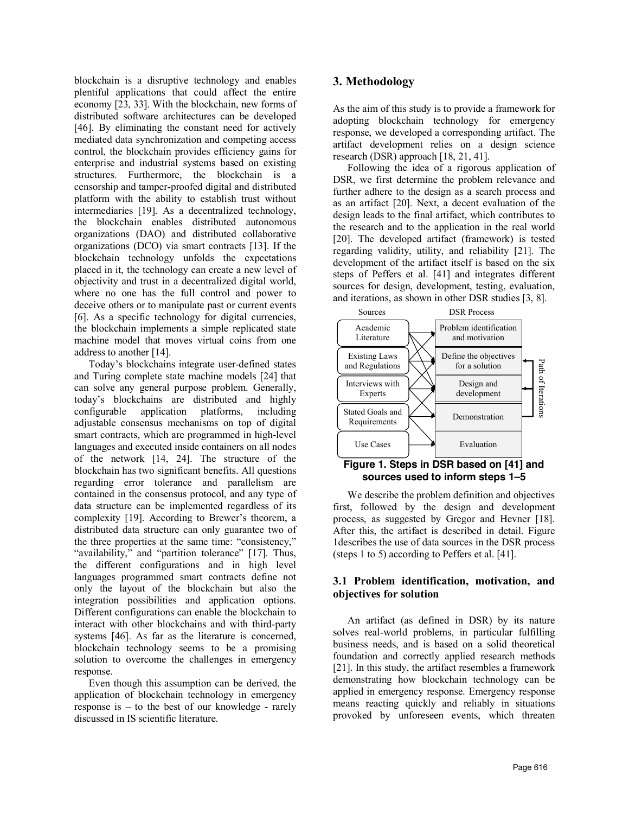blockchain is a disruptive technology and enables plentiful applications that could affect the entire economy [23, 33]. With the blockchain, new forms of distributed software architectures can be developed [46]. By eliminating the constant need for actively mediated data synchronization and competing access control, the blockchain provides efficiency gains for enterprise and industrial systems based on existing structures. Furthermore, the blockchain is a censorship and tamper-proofed digital and distributed platform with the ability to establish trust without intermediaries [19]. As a decentralized technology, the blockchain enables distributed autonomous organizations (DAO) and distributed collaborative organizations (DCO) via smart contracts [13]. If the blockchain technology unfolds the expectations placed in it, the technology can create a new level of objectivity and trust in a decentralized digital world, where no one has the full control and power to deceive others or to manipulate past or current events [6]. As a specific technology for digital currencies, the blockchain implements a simple replicated state machine model that moves virtual coins from one address to another [14].

Today's blockchains integrate user-defined states and Turing complete state machine models [24] that can solve any general purpose problem. Generally, today's blockchains are distributed and highly configurable application platforms, including adjustable consensus mechanisms on top of digital smart contracts, which are programmed in high-level languages and executed inside containers on all nodes of the network [14, 24]. The structure of the blockchain has two significant benefits. All questions regarding error tolerance and parallelism are contained in the consensus protocol, and any type of data structure can be implemented regardless of its complexity [19]. According to Brewer's theorem, a distributed data structure can only guarantee two of the three properties at the same time: "consistency," "availability," and "partition tolerance" [17]. Thus, the different configurations and in high level languages programmed smart contracts define not only the layout of the blockchain but also the integration possibilities and application options. Different configurations can enable the blockchain to interact with other blockchains and with third-party systems [46]. As far as the literature is concerned, blockchain technology seems to be a promising solution to overcome the challenges in emergency response.

Even though this assumption can be derived, the application of blockchain technology in emergency response is – to the best of our knowledge - rarely discussed in IS scientific literature.

## **3. Methodology**

As the aim of this study is to provide a framework for adopting blockchain technology for emergency response, we developed a corresponding artifact. The artifact development relies on a design science research (DSR) approach [18, 21, 41].

Following the idea of a rigorous application of DSR, we first determine the problem relevance and further adhere to the design as a search process and as an artifact [20]. Next, a decent evaluation of the design leads to the final artifact, which contributes to the research and to the application in the real world [20]. The developed artifact (framework) is tested regarding validity, utility, and reliability [21]. The development of the artifact itself is based on the six steps of Peffers et al. [41] and integrates different sources for design, development, testing, evaluation, and iterations, as shown in other DSR studies [3, 8].



#### **Figure 1. Steps in DSR based on [41] and sources used to inform steps 1–5**

We describe the problem definition and objectives first, followed by the design and development process, as suggested by Gregor and Hevner [18]. After this, the artifact is described in detail. Figure 1describes the use of data sources in the DSR process (steps 1 to 5) according to Peffers et al. [41].

### **3.1 Problem identification, motivation, and objectives for solution**

An artifact (as defined in DSR) by its nature solves real-world problems, in particular fulfilling business needs, and is based on a solid theoretical foundation and correctly applied research methods [21]. In this study, the artifact resembles a framework demonstrating how blockchain technology can be applied in emergency response. Emergency response means reacting quickly and reliably in situations provoked by unforeseen events, which threaten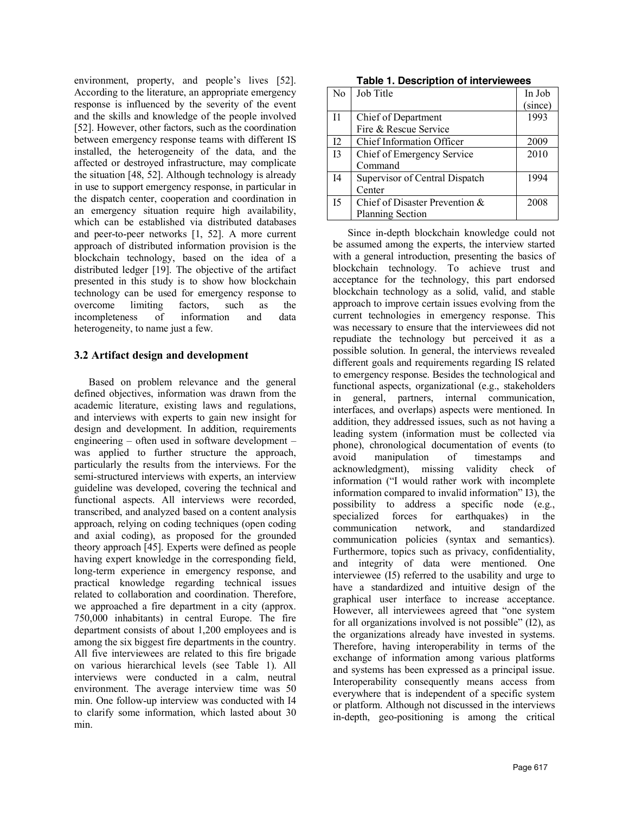environment, property, and people's lives [52]. According to the literature, an appropriate emergency response is influenced by the severity of the event and the skills and knowledge of the people involved [52]. However, other factors, such as the coordination between emergency response teams with different IS installed, the heterogeneity of the data, and the affected or destroyed infrastructure, may complicate the situation [48, 52]. Although technology is already in use to support emergency response, in particular in the dispatch center, cooperation and coordination in an emergency situation require high availability, which can be established via distributed databases and peer-to-peer networks [1, 52]. A more current approach of distributed information provision is the blockchain technology, based on the idea of a distributed ledger [19]. The objective of the artifact presented in this study is to show how blockchain technology can be used for emergency response to overcome limiting factors, such as the incompleteness of information and data heterogeneity, to name just a few.

### **3.2 Artifact design and development**

Based on problem relevance and the general defined objectives, information was drawn from the academic literature, existing laws and regulations, and interviews with experts to gain new insight for design and development. In addition, requirements engineering – often used in software development – was applied to further structure the approach, particularly the results from the interviews. For the semi-structured interviews with experts, an interview guideline was developed, covering the technical and functional aspects. All interviews were recorded, transcribed, and analyzed based on a content analysis approach, relying on coding techniques (open coding and axial coding), as proposed for the grounded theory approach [45]. Experts were defined as people having expert knowledge in the corresponding field, long-term experience in emergency response, and practical knowledge regarding technical issues related to collaboration and coordination. Therefore, we approached a fire department in a city (approx. 750,000 inhabitants) in central Europe. The fire department consists of about 1,200 employees and is among the six biggest fire departments in the country. All five interviewees are related to this fire brigade on various hierarchical levels (see Table 1). All interviews were conducted in a calm, neutral environment. The average interview time was 50 min. One follow-up interview was conducted with I4 to clarify some information, which lasted about 30 min.

| No             | Job Title                        | In Job  |
|----------------|----------------------------------|---------|
|                |                                  | (since) |
| I <sub>1</sub> | Chief of Department              | 1993    |
|                | Fire & Rescue Service            |         |
| 12             | <b>Chief Information Officer</b> | 2009    |
| 13             | Chief of Emergency Service       | 2010    |
|                | Command                          |         |
| I <sub>4</sub> | Supervisor of Central Dispatch   | 1994    |
|                | Center                           |         |
| 15             | Chief of Disaster Prevention &   | 2008    |
|                | Planning Section                 |         |

Since in-depth blockchain knowledge could not be assumed among the experts, the interview started with a general introduction, presenting the basics of blockchain technology. To achieve trust and acceptance for the technology, this part endorsed blockchain technology as a solid, valid, and stable approach to improve certain issues evolving from the current technologies in emergency response. This was necessary to ensure that the interviewees did not repudiate the technology but perceived it as a possible solution. In general, the interviews revealed different goals and requirements regarding IS related to emergency response. Besides the technological and functional aspects, organizational (e.g., stakeholders in general, partners, internal communication, interfaces, and overlaps) aspects were mentioned. In addition, they addressed issues, such as not having a leading system (information must be collected via phone), chronological documentation of events (to avoid manipulation of timestamps and acknowledgment), missing validity check of information ("I would rather work with incomplete information compared to invalid information" I3), the possibility to address a specific node (e.g., specialized forces for earthquakes) in the communication network, and standardized communication policies (syntax and semantics). Furthermore, topics such as privacy, confidentiality, and integrity of data were mentioned. One interviewee (I5) referred to the usability and urge to have a standardized and intuitive design of the graphical user interface to increase acceptance. However, all interviewees agreed that "one system for all organizations involved is not possible" (I2), as the organizations already have invested in systems. Therefore, having interoperability in terms of the exchange of information among various platforms and systems has been expressed as a principal issue. Interoperability consequently means access from everywhere that is independent of a specific system or platform. Although not discussed in the interviews in-depth, geo-positioning is among the critical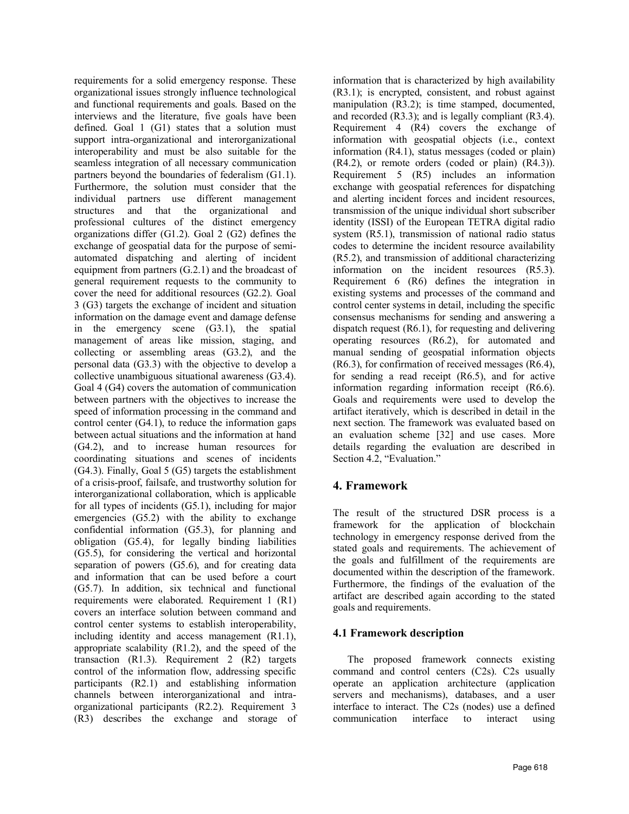requirements for a solid emergency response. These organizational issues strongly influence technological and functional requirements and goals. Based on the interviews and the literature, five goals have been defined. Goal 1 (G1) states that a solution must support intra-organizational and interorganizational interoperability and must be also suitable for the seamless integration of all necessary communication partners beyond the boundaries of federalism (G1.1). Furthermore, the solution must consider that the individual partners use different management structures and that the organizational and professional cultures of the distinct emergency organizations differ (G1.2). Goal 2 (G2) defines the exchange of geospatial data for the purpose of semiautomated dispatching and alerting of incident equipment from partners (G.2.1) and the broadcast of general requirement requests to the community to cover the need for additional resources (G2.2). Goal 3 (G3) targets the exchange of incident and situation information on the damage event and damage defense in the emergency scene (G3.1), the spatial management of areas like mission, staging, and collecting or assembling areas (G3.2), and the personal data (G3.3) with the objective to develop a collective unambiguous situational awareness (G3.4). Goal 4 (G4) covers the automation of communication between partners with the objectives to increase the speed of information processing in the command and control center (G4.1), to reduce the information gaps between actual situations and the information at hand (G4.2), and to increase human resources for coordinating situations and scenes of incidents (G4.3). Finally, Goal 5 (G5) targets the establishment of a crisis-proof, failsafe, and trustworthy solution for interorganizational collaboration, which is applicable for all types of incidents (G5.1), including for major emergencies (G5.2) with the ability to exchange confidential information (G5.3), for planning and obligation (G5.4), for legally binding liabilities (G5.5), for considering the vertical and horizontal separation of powers (G5.6), and for creating data and information that can be used before a court (G5.7). In addition, six technical and functional requirements were elaborated. Requirement 1 (R1) covers an interface solution between command and control center systems to establish interoperability, including identity and access management (R1.1), appropriate scalability (R1.2), and the speed of the transaction  $(R1.3)$ . Requirement 2  $(R2)$  targets control of the information flow, addressing specific participants (R2.1) and establishing information channels between interorganizational and intraorganizational participants (R2.2). Requirement 3 (R3) describes the exchange and storage of information that is characterized by high availability (R3.1); is encrypted, consistent, and robust against manipulation (R3.2); is time stamped, documented, and recorded (R3.3); and is legally compliant (R3.4). Requirement 4 (R4) covers the exchange of information with geospatial objects (i.e., context information (R4.1), status messages (coded or plain) (R4.2), or remote orders (coded or plain) (R4.3)). Requirement 5 (R5) includes an information exchange with geospatial references for dispatching and alerting incident forces and incident resources, transmission of the unique individual short subscriber identity (ISSI) of the European TETRA digital radio system (R5.1), transmission of national radio status codes to determine the incident resource availability (R5.2), and transmission of additional characterizing information on the incident resources (R5.3). Requirement 6 (R6) defines the integration in existing systems and processes of the command and control center systems in detail, including the specific consensus mechanisms for sending and answering a dispatch request (R6.1), for requesting and delivering operating resources (R6.2), for automated and manual sending of geospatial information objects (R6.3), for confirmation of received messages (R6.4), for sending a read receipt (R6.5), and for active information regarding information receipt (R6.6). Goals and requirements were used to develop the artifact iteratively, which is described in detail in the next section. The framework was evaluated based on an evaluation scheme [32] and use cases. More details regarding the evaluation are described in Section 4.2, "Evaluation."

# **4. Framework**

The result of the structured DSR process is a framework for the application of blockchain technology in emergency response derived from the stated goals and requirements. The achievement of the goals and fulfillment of the requirements are documented within the description of the framework. Furthermore, the findings of the evaluation of the artifact are described again according to the stated goals and requirements.

### **4.1 Framework description**

The proposed framework connects existing command and control centers (C2s). C2s usually operate an application architecture (application servers and mechanisms), databases, and a user interface to interact. The C2s (nodes) use a defined communication interface to interact using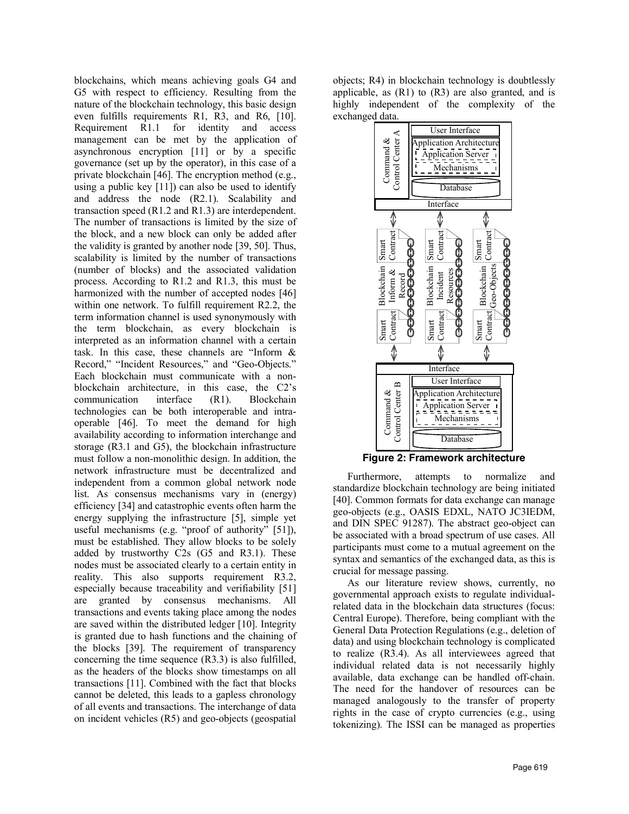blockchains, which means achieving goals G4 and G5 with respect to efficiency. Resulting from the nature of the blockchain technology, this basic design even fulfills requirements R1, R3, and R6, [10]. Requirement R1.1 for identity and access management can be met by the application of asynchronous encryption [11] or by a specific governance (set up by the operator), in this case of a private blockchain [46]. The encryption method (e.g., using a public key [11]) can also be used to identify and address the node (R2.1). Scalability and transaction speed (R1.2 and R1.3) are interdependent. The number of transactions is limited by the size of the block, and a new block can only be added after the validity is granted by another node [39, 50]. Thus, scalability is limited by the number of transactions (number of blocks) and the associated validation process. According to R1.2 and R1.3, this must be harmonized with the number of accepted nodes [46] within one network. To fulfill requirement R2.2, the term information channel is used synonymously with the term blockchain, as every blockchain is interpreted as an information channel with a certain task. In this case, these channels are "Inform & Record," "Incident Resources," and "Geo-Objects." Each blockchain must communicate with a nonblockchain architecture, in this case, the C2's communication interface (R1). Blockchain technologies can be both interoperable and intraoperable [46]. To meet the demand for high availability according to information interchange and storage (R3.1 and G5), the blockchain infrastructure must follow a non-monolithic design. In addition, the network infrastructure must be decentralized and independent from a common global network node list. As consensus mechanisms vary in (energy) efficiency [34] and catastrophic events often harm the energy supplying the infrastructure [5], simple yet useful mechanisms (e.g. "proof of authority" [51]), must be established. They allow blocks to be solely added by trustworthy C2s (G5 and R3.1). These nodes must be associated clearly to a certain entity in reality. This also supports requirement R3.2, especially because traceability and verifiability [51] are granted by consensus mechanisms. All transactions and events taking place among the nodes are saved within the distributed ledger [10]. Integrity is granted due to hash functions and the chaining of the blocks [39]. The requirement of transparency concerning the time sequence (R3.3) is also fulfilled, as the headers of the blocks show timestamps on all transactions [11]. Combined with the fact that blocks cannot be deleted, this leads to a gapless chronology of all events and transactions. The interchange of data on incident vehicles (R5) and geo-objects (geospatial

objects; R4) in blockchain technology is doubtlessly applicable, as  $(R1)$  to  $(R3)$  are also granted, and is highly independent of the complexity of the exchanged data.



Furthermore, attempts to normalize and standardize blockchain technology are being initiated [40]. Common formats for data exchange can manage geo-objects (e.g., OASIS EDXL, NATO JC3IEDM, and DIN SPEC 91287). The abstract geo-object can be associated with a broad spectrum of use cases. All participants must come to a mutual agreement on the syntax and semantics of the exchanged data, as this is crucial for message passing.

As our literature review shows, currently, no governmental approach exists to regulate individualrelated data in the blockchain data structures (focus: Central Europe). Therefore, being compliant with the General Data Protection Regulations (e.g., deletion of data) and using blockchain technology is complicated to realize (R3.4). As all interviewees agreed that individual related data is not necessarily highly available, data exchange can be handled off-chain. The need for the handover of resources can be managed analogously to the transfer of property rights in the case of crypto currencies (e.g., using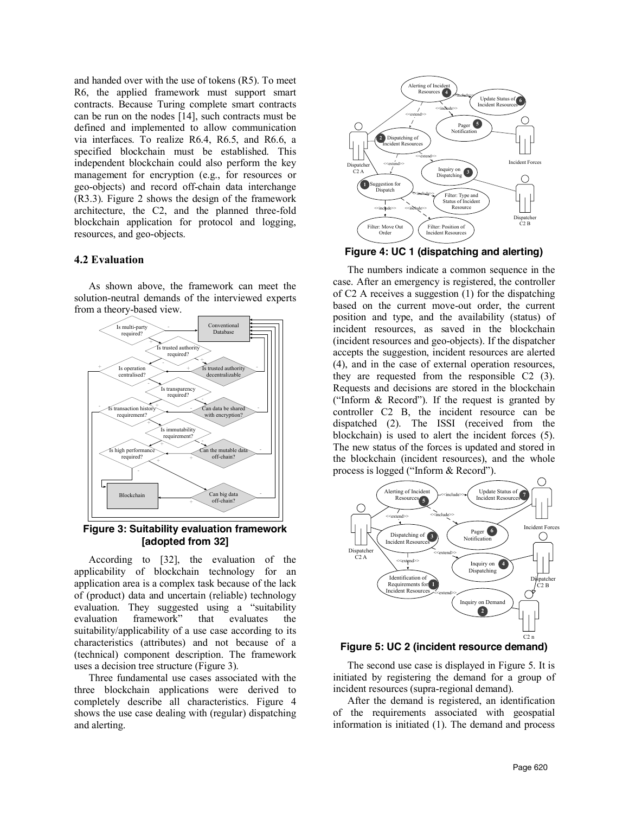and handed over with the use of tokens (R5). To meet R6, the applied framework must support smart contracts. Because Turing complete smart contracts can be run on the nodes [14], such contracts must be defined and implemented to allow communication via interfaces. To realize R6.4, R6.5, and R6.6, a specified blockchain must be established. This independent blockchain could also perform the key management for encryption (e.g., for resources or geo-objects) and record off-chain data interchange (R3.3). Figure 2 shows the design of the framework architecture, the C2, and the planned three-fold blockchain application for protocol and logging, resources, and geo-objects.

#### **4.2 Evaluation**

As shown above, the framework can meet the solution-neutral demands of the interviewed experts from a theory-based view.



**Figure 3: Suitability evaluation framework [adopted from 32]**

According to [32], the evaluation of the applicability of blockchain technology for an application area is a complex task because of the lack of (product) data and uncertain (reliable) technology evaluation. They suggested using a "suitability evaluation framework" that evaluates the suitability/applicability of a use case according to its characteristics (attributes) and not because of a (technical) component description. The framework uses a decision tree structure (Figure 3).

Three fundamental use cases associated with the three blockchain applications were derived to completely describe all characteristics. Figure 4 shows the use case dealing with (regular) dispatching and alerting.



**Figure 4: UC 1 (dispatching and alerting)**

The numbers indicate a common sequence in the case. After an emergency is registered, the controller of C2 A receives a suggestion (1) for the dispatching based on the current move-out order, the current position and type, and the availability (status) of incident resources, as saved in the blockchain (incident resources and geo-objects). If the dispatcher accepts the suggestion, incident resources are alerted (4), and in the case of external operation resources, they are requested from the responsible C2 (3). Requests and decisions are stored in the blockchain ("Inform & Record"). If the request is granted by controller C2 B, the incident resource can be dispatched (2). The ISSI (received from the blockchain) is used to alert the incident forces (5). The new status of the forces is updated and stored in the blockchain (incident resources), and the whole process is logged ("Inform & Record").





The second use case is displayed in Figure 5. It is initiated by registering the demand for a group of incident resources (supra-regional demand).

After the demand is registered, an identification of the requirements associated with geospatial information is initiated (1). The demand and process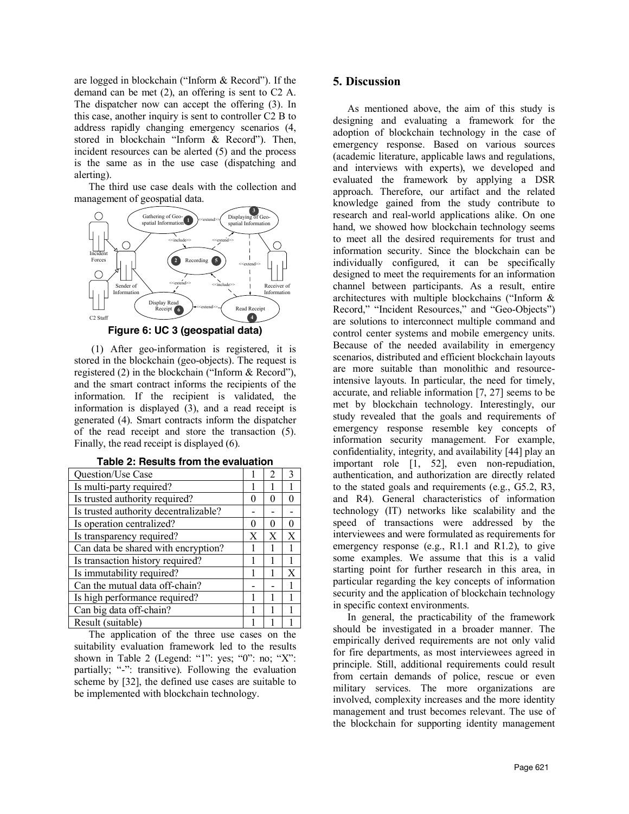are logged in blockchain ("Inform & Record"). If the demand can be met (2), an offering is sent to C2 A. The dispatcher now can accept the offering (3). In this case, another inquiry is sent to controller C2 B to address rapidly changing emergency scenarios (4, stored in blockchain "Inform & Record"). Then, incident resources can be alerted (5) and the process is the same as in the use case (dispatching and alerting).

The third use case deals with the collection and management of geospatial data.



**Figure 6: UC 3 (geospatial data)**

(1) After geo-information is registered, it is stored in the blockchain (geo-objects). The request is registered (2) in the blockchain ("Inform & Record"), and the smart contract informs the recipients of the information. If the recipient is validated, the information is displayed (3), and a read receipt is generated (4). Smart contracts inform the dispatcher of the read receipt and store the transaction (5). Finally, the read receipt is displayed (6).

| Question/Use Case                     |        | $\overline{c}$ | ζ |
|---------------------------------------|--------|----------------|---|
| Is multi-party required?              |        |                |   |
| Is trusted authority required?        | $_{0}$ | 0              |   |
| Is trusted authority decentralizable? |        |                |   |
| Is operation centralized?             | 0      | 0              | 0 |
| Is transparency required?             | X      | X              | X |
| Can data be shared with encryption?   |        |                |   |
| Is transaction history required?      |        |                |   |
| Is immutability required?             |        |                | X |
| Can the mutual data off-chain?        |        |                |   |
| Is high performance required?         | 1      | 1              |   |
| Can big data off-chain?               |        |                |   |
| Result (suitable)                     |        |                |   |

|  |  |  | Table 2: Results from the evaluation |
|--|--|--|--------------------------------------|
|--|--|--|--------------------------------------|

The application of the three use cases on the suitability evaluation framework led to the results shown in Table 2 (Legend: "1": yes; "0": no; "X": partially; "-": transitive). Following the evaluation scheme by [32], the defined use cases are suitable to be implemented with blockchain technology.

#### **5. Discussion**

As mentioned above, the aim of this study is designing and evaluating a framework for the adoption of blockchain technology in the case of emergency response. Based on various sources (academic literature, applicable laws and regulations, and interviews with experts), we developed and evaluated the framework by applying a DSR approach. Therefore, our artifact and the related knowledge gained from the study contribute to research and real-world applications alike. On one hand, we showed how blockchain technology seems to meet all the desired requirements for trust and information security. Since the blockchain can be individually configured, it can be specifically designed to meet the requirements for an information channel between participants. As a result, entire architectures with multiple blockchains ("Inform & Record," "Incident Resources," and "Geo-Objects") are solutions to interconnect multiple command and control center systems and mobile emergency units. Because of the needed availability in emergency scenarios, distributed and efficient blockchain layouts are more suitable than monolithic and resourceintensive layouts. In particular, the need for timely, accurate, and reliable information [7, 27] seems to be met by blockchain technology. Interestingly, our study revealed that the goals and requirements of emergency response resemble key concepts of information security management. For example, confidentiality, integrity, and availability [44] play an important role [1, 52], even non-repudiation, authentication, and authorization are directly related to the stated goals and requirements (e.g., G5.2, R3, and R4). General characteristics of information technology (IT) networks like scalability and the speed of transactions were addressed by the interviewees and were formulated as requirements for emergency response (e.g., R1.1 and R1.2), to give some examples. We assume that this is a valid starting point for further research in this area, in particular regarding the key concepts of information security and the application of blockchain technology in specific context environments.

In general, the practicability of the framework should be investigated in a broader manner. The empirically derived requirements are not only valid for fire departments, as most interviewees agreed in principle. Still, additional requirements could result from certain demands of police, rescue or even military services. The more organizations are involved, complexity increases and the more identity management and trust becomes relevant. The use of the blockchain for supporting identity management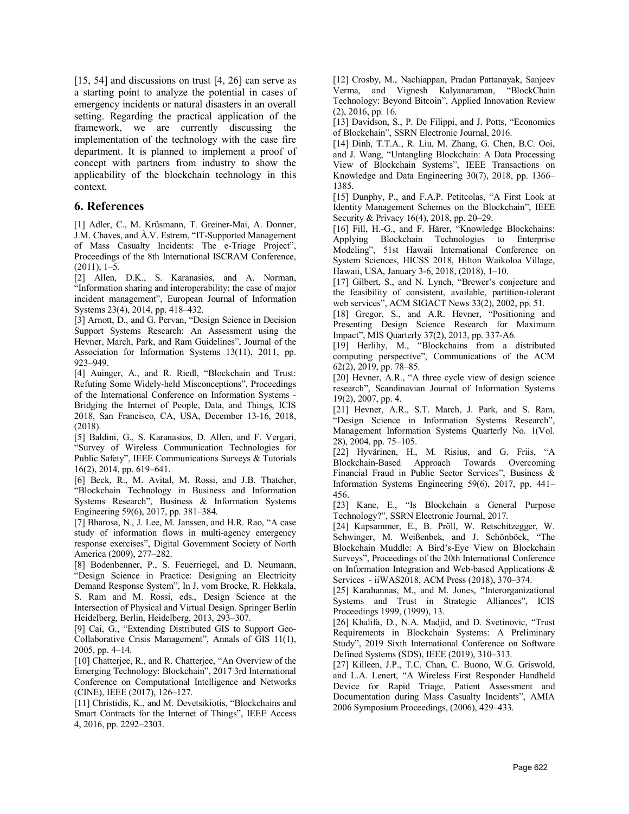[15, 54] and discussions on trust [4, 26] can serve as a starting point to analyze the potential in cases of emergency incidents or natural disasters in an overall setting. Regarding the practical application of the framework, we are currently discussing the implementation of the technology with the case fire department. It is planned to implement a proof of concept with partners from industry to show the applicability of the blockchain technology in this context.

#### **6. References**

[1] Adler, C., M. Krüsmann, T. Greiner-Mai, A. Donner, J.M. Chaves, and À.V. Estrem, "IT-Supported Management of Mass Casualty Incidents: The e-Triage Project", Proceedings of the 8th International ISCRAM Conference, (2011), 1–5.

[2] Allen, D.K., S. Karanasios, and A. Norman, "Information sharing and interoperability: the case of major incident management", European Journal of Information Systems 23(4), 2014, pp. 418–432.

[3] Arnott, D., and G. Pervan, "Design Science in Decision Support Systems Research: An Assessment using the Hevner, March, Park, and Ram Guidelines", Journal of the Association for Information Systems 13(11), 2011, pp. 923–949.

[4] Auinger, A., and R. Riedl, "Blockchain and Trust: Refuting Some Widely-held Misconceptions", Proceedings of the International Conference on Information Systems - Bridging the Internet of People, Data, and Things, ICIS 2018, San Francisco, CA, USA, December 13-16, 2018, (2018).

[5] Baldini, G., S. Karanasios, D. Allen, and F. Vergari, "Survey of Wireless Communication Technologies for Public Safety", IEEE Communications Surveys & Tutorials 16(2), 2014, pp. 619–641.

[6] Beck, R., M. Avital, M. Rossi, and J.B. Thatcher, "Blockchain Technology in Business and Information Systems Research", Business & Information Systems Engineering 59(6), 2017, pp. 381–384.

[7] Bharosa, N., J. Lee, M. Janssen, and H.R. Rao, "A case study of information flows in multi-agency emergency response exercises", Digital Government Society of North America (2009), 277–282.

[8] Bodenbenner, P., S. Feuerriegel, and D. Neumann, "Design Science in Practice: Designing an Electricity Demand Response System", In J. vom Brocke, R. Hekkala, S. Ram and M. Rossi, eds., Design Science at the Intersection of Physical and Virtual Design. Springer Berlin Heidelberg, Berlin, Heidelberg, 2013, 293–307.

[9] Cai, G., "Extending Distributed GIS to Support Geo-Collaborative Crisis Management", Annals of GIS 11(1), 2005, pp. 4–14.

[10] Chatterjee, R., and R. Chatterjee, "An Overview of the Emerging Technology: Blockchain", 2017 3rd International Conference on Computational Intelligence and Networks (CINE), IEEE (2017), 126–127.

[11] Christidis, K., and M. Devetsikiotis, "Blockchains and Smart Contracts for the Internet of Things", IEEE Access 4, 2016, pp. 2292–2303.

[12] Crosby, M., Nachiappan, Pradan Pattanayak, Sanjeev Verma, and Vignesh Kalyanaraman, "BlockChain Technology: Beyond Bitcoin", Applied Innovation Review (2), 2016, pp. 16.

[13] Davidson, S., P. De Filippi, and J. Potts, "Economics" of Blockchain", SSRN Electronic Journal, 2016.

[14] Dinh, T.T.A., R. Liu, M. Zhang, G. Chen, B.C. Ooi, and J. Wang, "Untangling Blockchain: A Data Processing View of Blockchain Systems", IEEE Transactions on Knowledge and Data Engineering 30(7), 2018, pp. 1366– 1385.

[15] Dunphy, P., and F.A.P. Petitcolas, "A First Look at Identity Management Schemes on the Blockchain", IEEE Security & Privacy 16(4), 2018, pp. 20–29.

[16] Fill, H.-G., and F. Härer, "Knowledge Blockchains: Applying Blockchain Technologies to Enterprise Modeling", 51st Hawaii International Conference on System Sciences, HICSS 2018, Hilton Waikoloa Village, Hawaii, USA, January 3-6, 2018, (2018), 1–10.

[17] Gilbert, S., and N. Lynch, "Brewer's conjecture and the feasibility of consistent, available, partition-tolerant web services", ACM SIGACT News 33(2), 2002, pp. 51.

[18] Gregor, S., and A.R. Hevner, "Positioning and Presenting Design Science Research for Maximum Impact", MIS Quarterly 37(2), 2013, pp. 337-A6.

[19] Herlihy, M., "Blockchains from a distributed computing perspective", Communications of the ACM 62(2), 2019, pp. 78–85.

[20] Hevner, A.R., "A three cycle view of design science research", Scandinavian Journal of Information Systems 19(2), 2007, pp. 4.

[21] Hevner, A.R., S.T. March, J. Park, and S. Ram, "Design Science in Information Systems Research", Management Information Systems Quarterly No. 1(Vol. 28), 2004, pp. 75–105.

[22] Hyvärinen, H., M. Risius, and G. Friis, "A Blockchain-Based Approach Towards Overcoming Financial Fraud in Public Sector Services", Business & Information Systems Engineering 59(6), 2017, pp. 441– 456.

[23] Kane, E., "Is Blockchain a General Purpose Technology?", SSRN Electronic Journal, 2017.

[24] Kapsammer, E., B. Pröll, W. Retschitzegger, W. Schwinger, M. Weißenbek, and J. Schönböck, "The Blockchain Muddle: A Bird's-Eye View on Blockchain Surveys", Proceedings of the 20th International Conference on Information Integration and Web-based Applications & Services - iiWAS2018, ACM Press (2018), 370–374.

[25] Karahannas, M., and M. Jones, "Interorganizational Systems and Trust in Strategic Alliances", ICIS Proceedings 1999, (1999), 13.

[26] Khalifa, D., N.A. Madjid, and D. Svetinovic, "Trust Requirements in Blockchain Systems: A Preliminary Study", 2019 Sixth International Conference on Software Defined Systems (SDS), IEEE (2019), 310–313.

[27] Killeen, J.P., T.C. Chan, C. Buono, W.G. Griswold, and L.A. Lenert, "A Wireless First Responder Handheld Device for Rapid Triage, Patient Assessment and Documentation during Mass Casualty Incidents", AMIA 2006 Symposium Proceedings, (2006), 429–433.